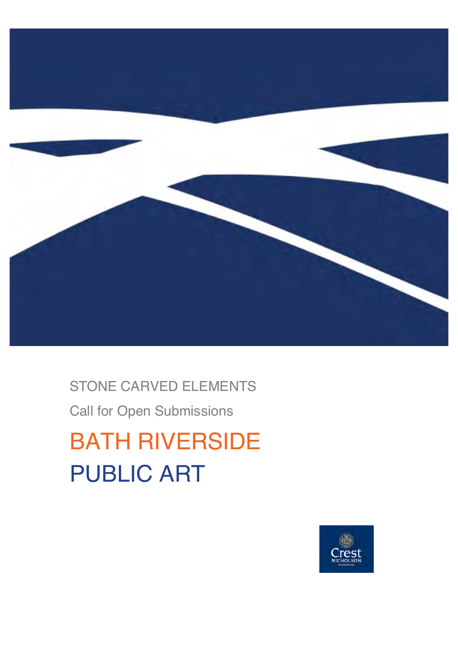

## STONE CARVED ELEMENTS

Call for Open Submissions

# BATH RIVERSIDE PUBLIC ART

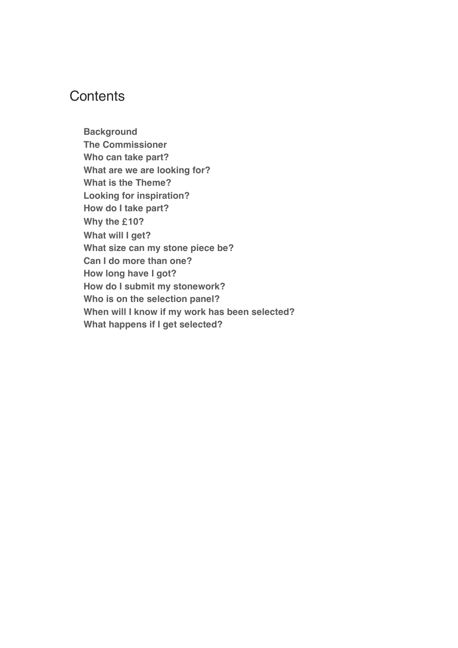### **Contents**

**Background The Commissioner Who can take part? What are we are looking for? What is the Theme? Looking for inspiration? How do I take part? Why the** £**10? What will I get? What size can my stone piece be? Can I do more than one? How long have I got? How do I submit my stonework? Who is on the selection panel? When will I know if my work has been selected? What happens if I get selected?**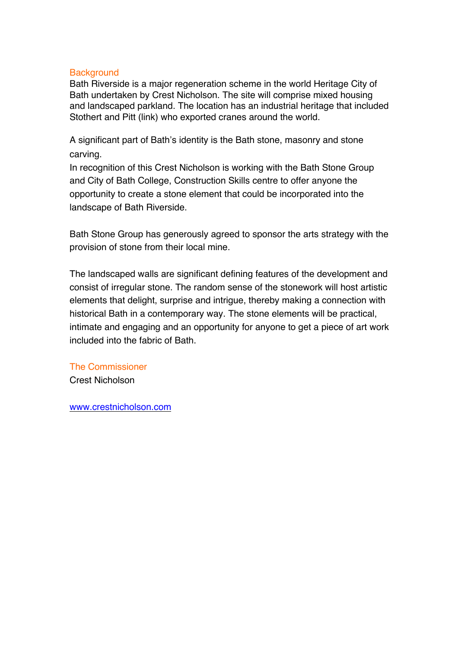#### **Background**

Bath Riverside is a major regeneration scheme in the world Heritage City of Bath undertaken by Crest Nicholson. The site will comprise mixed housing and landscaped parkland. The location has an industrial heritage that included Stothert and Pitt (link) who exported cranes around the world.

A significant part of Bath's identity is the Bath stone, masonry and stone carving.

In recognition of this Crest Nicholson is working with the Bath Stone Group and City of Bath College, Construction Skills centre to offer anyone the opportunity to create a stone element that could be incorporated into the landscape of Bath Riverside.

Bath Stone Group has generously agreed to sponsor the arts strategy with the provision of stone from their local mine.

The landscaped walls are significant defining features of the development and consist of irregular stone. The random sense of the stonework will host artistic elements that delight, surprise and intrigue, thereby making a connection with historical Bath in a contemporary way. The stone elements will be practical, intimate and engaging and an opportunity for anyone to get a piece of art work included into the fabric of Bath.

The Commissioner Crest Nicholson

www.crestnicholson.com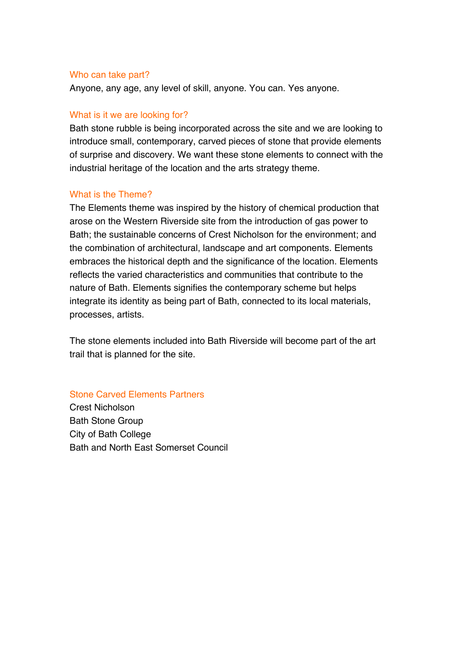#### Who can take part?

Anyone, any age, any level of skill, anyone. You can. Yes anyone.

#### What is it we are looking for?

Bath stone rubble is being incorporated across the site and we are looking to introduce small, contemporary, carved pieces of stone that provide elements of surprise and discovery. We want these stone elements to connect with the industrial heritage of the location and the arts strategy theme.

#### What is the Theme?

The Elements theme was inspired by the history of chemical production that arose on the Western Riverside site from the introduction of gas power to Bath; the sustainable concerns of Crest Nicholson for the environment; and the combination of architectural, landscape and art components. Elements embraces the historical depth and the significance of the location. Elements reflects the varied characteristics and communities that contribute to the nature of Bath. Elements signifies the contemporary scheme but helps integrate its identity as being part of Bath, connected to its local materials, processes, artists.

The stone elements included into Bath Riverside will become part of the art trail that is planned for the site.

Stone Carved Elements Partners

Crest Nicholson Bath Stone Group City of Bath College Bath and North East Somerset Council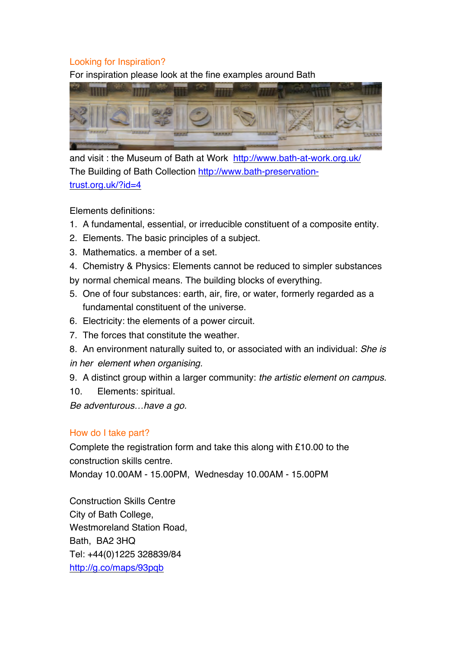#### Looking for Inspiration?

For inspiration please look at the fine examples around Bath



and visit : the Museum of Bath at Work http://www.bath-at-work.org.uk/ The Building of Bath Collection http://www.bath-preservationtrust.org.uk/?id=4

Elements definitions:

- 1. A fundamental, essential, or irreducible constituent of a composite entity.
- 2. Elements. The basic principles of a subject.
- 3. Mathematics. a member of a set.
- 4. Chemistry & Physics: Elements cannot be reduced to simpler substances
- by normal chemical means. The building blocks of everything.
- 5. One of four substances: earth, air, fire, or water, formerly regarded as a fundamental constituent of the universe.
- 6. Electricity: the elements of a power circuit.
- 7. The forces that constitute the weather.
- 8. An environment naturally suited to, or associated with an individual: *She is*
- *in her element when organising.*
- 9. A distinct group within a larger community: *the artistic element on campus.*
- 10. Elements: spiritual.

*Be adventurous*…*have a go.*

#### How do I take part?

Complete the registration form and take this along with £10.00 to the construction skills centre.

Monday 10.00AM - 15.00PM, Wednesday 10.00AM - 15.00PM

Construction Skills Centre City of Bath College, Westmoreland Station Road, Bath, BA2 3HQ Tel: +44(0)1225 328839/84 http://g.co/maps/93pqb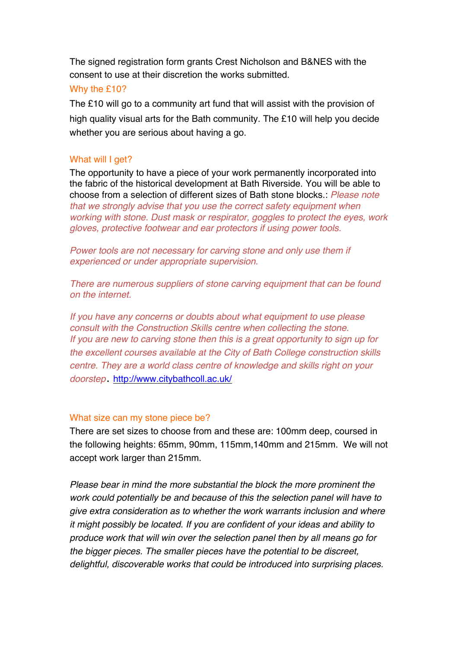The signed registration form grants Crest Nicholson and B&NES with the consent to use at their discretion the works submitted.

#### Why the £10?

The £10 will go to a community art fund that will assist with the provision of high quality visual arts for the Bath community. The £10 will help you decide whether you are serious about having a go.

#### What will I get?

The opportunity to have a piece of your work permanently incorporated into the fabric of the historical development at Bath Riverside. You will be able to choose from a selection of different sizes of Bath stone blocks.: *Please note that we strongly advise that you use the correct safety equipment when working with stone. Dust mask or respirator, goggles to protect the eyes, work gloves, protective footwear and ear protectors if using power tools.*

Power tools are not necessary for carving stone and only use them if *experienced or under appropriate supervision.*

*There are numerous suppliers of stone carving equipment that can be found on the internet.*

*If you have any concerns or doubts about what equipment to use please consult with the Construction Skills centre when collecting the stone. If you are new to carving stone then this is a great opportunity to sign up for the excellent courses available at the City of Bath College construction skills centre. They are a world class centre of knowledge and skills right on your doorstep*. http://www.citybathcoll.ac.uk/

#### What size can my stone piece be?

There are set sizes to choose from and these are: 100mm deep, coursed in the following heights: 65mm, 90mm, 115mm,140mm and 215mm. We will not accept work larger than 215mm.

*Please bear in mind the more substantial the block the more prominent the work could potentially be and because of this the selection panel will have to give extra consideration as to whether the work warrants inclusion and where it might possibly be located. If you are confident of your ideas and ability to produce work that will win over the selection panel then by all means go for the bigger pieces. The smaller pieces have the potential to be discreet, delightful, discoverable works that could be introduced into surprising places.*